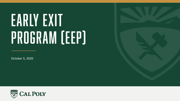# EARLY EXIT Program (EEP)

October 5, 2020

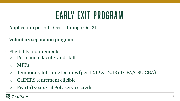### Early Exit Program

- Application period Oct 1 through Oct 21
- Voluntary separation program
- Eligibility requirements:
	- <sup>o</sup> Permanent faculty and staff
	- <sup>o</sup> MPPs
	- <sup>o</sup> Temporary full-time lectures (per 12.12 & 12.13 of CFA/CSU CBA)
	- <sup>o</sup> CalPERS retirement eligible
	- <sup>o</sup> Five (5) years Cal Poly service credit

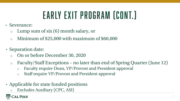# Early Exit Program (cont.)

- Severance:
	- $\circ$  Lump sum of six (6) month salary, or
	- $\circ$  Minimum of \$25,000 with maximum of \$60,000
- Separation date:
	- <sup>o</sup> On or before December 30, 2020
	- <sup>o</sup> Faculty/Staff Exceptions no later than end of Spring Quarter (June 12)
		- o Faculty require Dean, VP/Provost and President approval
		- o Staff require VP/Provost and President approval
- Applicable for state funded positions
	- Excludes Auxiliary (CPC, ASI)

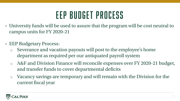### EEP Budget Process

- University funds will be used to assure that the program will be cost neutral to campus units for FY 2020-21
- EEP Budgetary Process:
	- Severance and vacation payouts will post to the employee's home department as required per our antiquated payroll system
	- A&F and Division Finance will reconcile expenses over FY 2020-21 budget, and transfer funds to cover departmental deficits
	- <sup>o</sup> Vacancy savings are temporary and will remain with the Division for the current fiscal year

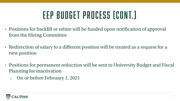## EEP Budget Process (cont.)

- Positions for backfill or rehire will be funded upon notification of approval from the Hiring Committee
- Redirection of salary to a different position will be treated as a request for a new position
- Positions for permanent reduction will be sent to University Budget and Fiscal Planning for inactivation
	- <sup>o</sup> On or before February 1, 2021

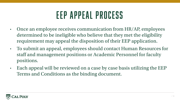#### EEP Appeal Process

- Once an employee receives communication from HR/AP, employees determined to be ineligible who believe that they met the eligibility requirement may appeal the disposition of their EEP application.
- To submit an appeal, employees should contact Human Resources for staff and management positions or Academic Personnel for faculty positions.
- Each appeal will be reviewed on a case by case basis utilizing the EEP Terms and Conditions as the binding document.